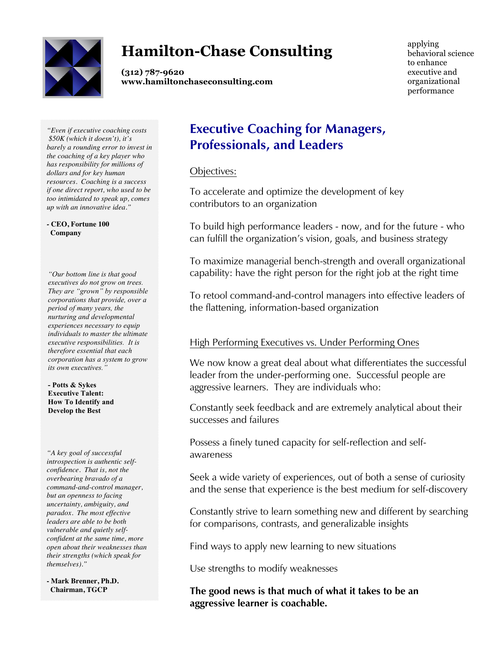

# **Hamilton-Chase Consulting**

**(312) 787-9620 www.hamiltonchaseconsulting.com**

applying behavioral science to enhance executive and organizational performance

*"Even if executive coaching costs \$50K (which it doesn't), it's barely a rounding error to invest in the coaching of a key player who has responsibility for millions of dollars and for key human resources. Coaching is a success if one direct report, who used to be too intimidated to speak up, comes up with an innovative idea."*

*-* **CEO, Fortune 100 Company**

*"Our bottom line is that good executives do not grow on trees. They are "grown" by responsible corporations that provide, over a period of many years, the nurturing and developmental experiences necessary to equip individuals to master the ultimate executive responsibilities. It is therefore essential that each corporation has a system to grow its own executives."*

**- Potts & Sykes Executive Talent: How To Identify and Develop the Best**

*"A key goal of successful introspection is authentic selfconfidence. That is, not the overbearing bravado of a command-and-control manager, but an openness to facing uncertainty, ambiguity, and paradox. The most effective leaders are able to be both vulnerable and quietly selfconfident at the same time, more open about their weaknesses than their strengths (which speak for themselves)."*

**- Mark Brenner, Ph.D. Chairman, TGCP**

### **Executive Coaching for Managers, Professionals, and Leaders**

Objectives:

To accelerate and optimize the development of key contributors to an organization

To build high performance leaders - now, and for the future - who can fulfill the organization's vision, goals, and business strategy

To maximize managerial bench-strength and overall organizational capability: have the right person for the right job at the right time

To retool command-and-control managers into effective leaders of the flattening, information-based organization

#### High Performing Executives vs. Under Performing Ones

We now know a great deal about what differentiates the successful leader from the under-performing one. Successful people are aggressive learners. They are individuals who:

Constantly seek feedback and are extremely analytical about their successes and failures

Possess a finely tuned capacity for self-reflection and selfawareness

Seek a wide variety of experiences, out of both a sense of curiosity and the sense that experience is the best medium for self-discovery

Constantly strive to learn something new and different by searching for comparisons, contrasts, and generalizable insights

Find ways to apply new learning to new situations

Use strengths to modify weaknesses

**The good news is that much of what it takes to be an aggressive learner is coachable.**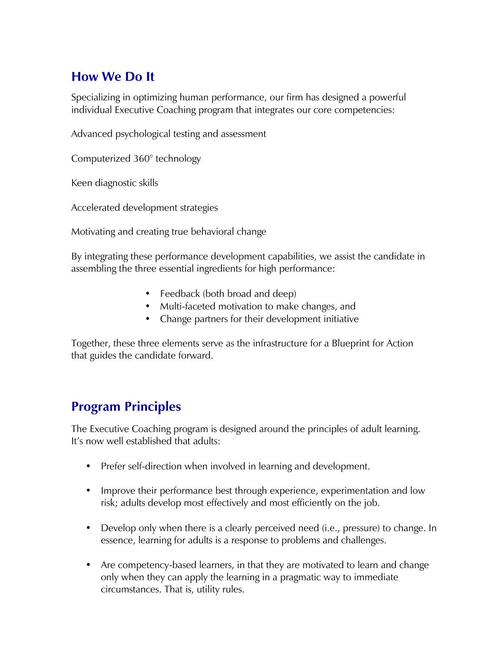### **How We Do It**

Specializing in optimizing human performance, our firm has designed a powerful individual Executive Coaching program that integrates our core competencies:

Advanced psychological testing and assessment

Computerized 360° technology

Keen diagnostic skills

Accelerated development strategies

Motivating and creating true behavioral change

By integrating these performance development capabilities, we assist the candidate in assembling the three essential ingredients for high performance:

- Feedback (both broad and deep)
- Multi-faceted motivation to make changes, and
- Change partners for their development initiative

Together, these three elements serve as the infrastructure for a Blueprint for Action that guides the candidate forward.

## **Program Principles**

The Executive Coaching program is designed around the principles of adult learning. It's now well established that adults:

- Prefer self-direction when involved in learning and development.
- Improve their performance best through experience, experimentation and low risk; adults develop most effectively and most efficiently on the job.
- Develop only when there is a clearly perceived need (i.e., pressure) to change. In essence, learning for adults is a response to problems and challenges.
- Are competency-based learners, in that they are motivated to learn and change only when they can apply the learning in a pragmatic way to immediate circumstances. That is, utility rules.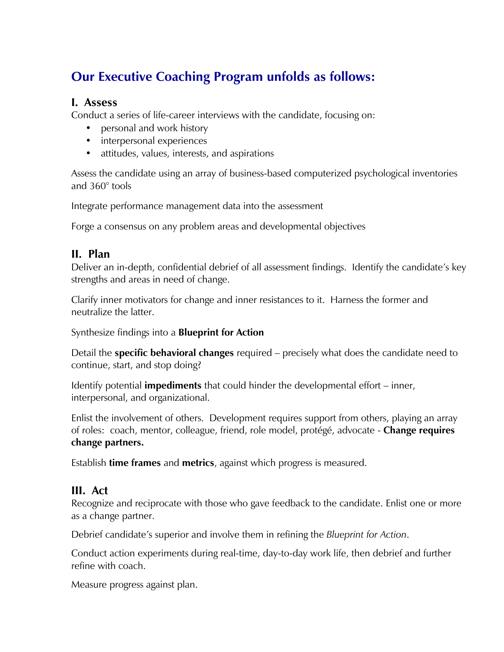## **Our Executive Coaching Program unfolds as follows:**

#### **I. Assess**

Conduct a series of life-career interviews with the candidate, focusing on:

- personal and work history
- interpersonal experiences
- attitudes, values, interests, and aspirations

Assess the candidate using an array of business-based computerized psychological inventories and 360° tools

Integrate performance management data into the assessment

Forge a consensus on any problem areas and developmental objectives

#### **II. Plan**

Deliver an in-depth, confidential debrief of all assessment findings. Identify the candidate's key strengths and areas in need of change.

Clarify inner motivators for change and inner resistances to it. Harness the former and neutralize the latter.

Synthesize findings into a **Blueprint for Action**

Detail the **specific behavioral changes** required – precisely what does the candidate need to continue, start, and stop doing?

Identify potential **impediments** that could hinder the developmental effort – inner, interpersonal, and organizational.

Enlist the involvement of others. Development requires support from others, playing an array of roles: coach, mentor, colleague, friend, role model, protégé, advocate - **Change requires change partners.**

Establish **time frames** and **metrics**, against which progress is measured.

#### **III. Act**

Recognize and reciprocate with those who gave feedback to the candidate. Enlist one or more as a change partner.

Debrief candidate's superior and involve them in refining the *Blueprint for Action*.

Conduct action experiments during real-time, day-to-day work life, then debrief and further refine with coach.

Measure progress against plan.